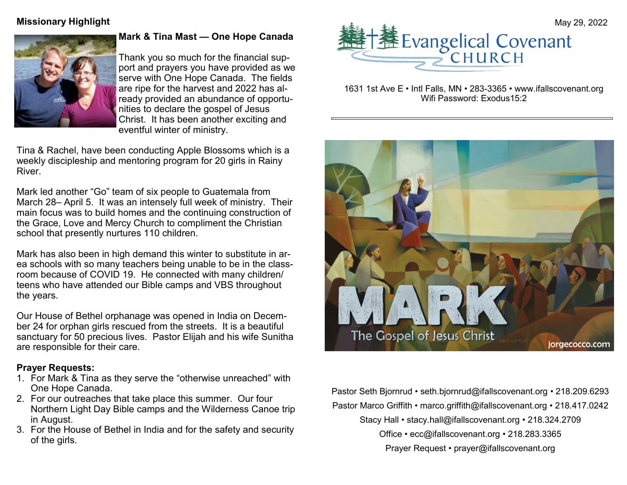

## **Mark & Tina Mast — One Hope Canada**

Thank you so much for the financial support and prayers you have provided as we serve with One Hope Canada. The fields are ripe for the harvest and 2022 has already provided an abundance of opportunities to declare the gospel of Jesus Christ. It has been another exciting and eventful winter of ministry.

Tina & Rachel, have been conducting Apple Blossoms which is a weekly discipleship and mentoring program for 20 girls in Rainy River.

Mark led another "Go" team of six people to Guatemala from March 28– April 5. It was an intensely full week of ministry. Their main focus was to build homes and the continuing construction of the Grace, Love and Mercy Church to compliment the Christian school that presently nurtures 110 children.

Mark has also been in high demand this winter to substitute in area schools with so many teachers being unable to be in the classroom because of COVID 19. He connected with many children/ teens who have attended our Bible camps and VBS throughout the years.

Our House of Bethel orphanage was opened in India on December 24 for orphan girls rescued from the streets. It is a beautiful sanctuary for 50 precious lives. Pastor Elijah and his wife Sunitha are responsible for their care.

#### **Prayer Requests:**

- 1. For Mark & Tina as they serve the "otherwise unreached" with One Hope Canada.
- 2. For our outreaches that take place this summer. Our four Northern Light Day Bible camps and the Wilderness Canoe trip in August.
- 3. For the House of Bethel in India and for the safety and security of the girls.



1631 1st Ave E • Intl Falls, MN • 283-3365 • www.ifallscovenant.org Wifi Password: Exodus15:2



Pastor Seth Bjornrud • seth.bjornrud@ifallscovenant.org • 218.209.6293 Pastor Marco Griffith • marco.griffith@ifallscovenant.org • 218.417.0242 Stacy Hall • stacy.hall@ifallscovenant.org • 218.324.2709 Office • ecc@ifallscovenant.org • 218.283.3365 Prayer Request • prayer@ifallscovenant.org